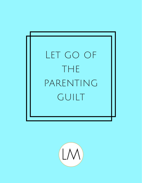

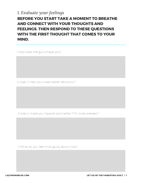### BEFORE YOU START TAKE A MOMENT TO BREATHE AND CONNECT WITH YOUR THOUGHTS AND FEELINGS. THEN RESPOND TO THESE QUESTIONS WITH THE FIRST THOUGHT THAT COMES TO YOUR MIND. *1. Evaluate your feelings*

1.How does the guilt shape you?

2.Does it help you make better decisions ?

3.Does it make you happier and better ? Or more stressed ?

4.What do you feel most guilty about now?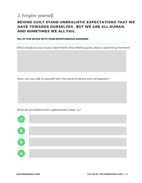### *2. Forgive yourself.*

#### BEHIND GUILT STAND UNREALISTIC EXPECTATIONS THAT WE HAVE TOWARDS OURSELVES . BUT WE ARE ALL HUMAN, AND SOMETIMES WE ALL FAIL.

#### FILL IN THIS SPACE WITH YOUR SPONTANEOUS ANSWERS:

What would you say to your best friend who's feeling guilty about a parenting moment?

Now, can you talk to yourself with the same kindness and compassion?

What do you believe that a good parent does / is ?

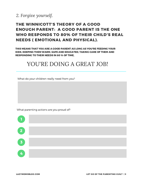

#### THE WINNICOTT'S THEORY OF A GOOD ENOUGH PARENT: A GOOD PARENT IS THE ONE WHO RESPONDS TO 80% OF THEIR CHILD'S REAL NEEDS ( EMOTIONAL AND PHYSICAL).

THIS MEANS THAT YOU ARE A GOOD PARENT AS LONG AS YOU'RE FEEDING YOUR KIDS, KEEPING THEM WARM, SAFE AND EDUCATED, TAKING CARE OF THEM AND RESPONDING TO THEIR NEEDS IN 80 % OF TIME,

## YOU'RE DOING A GREAT JOB!

What do your children really need from you?

What parenting actions are you proud of?